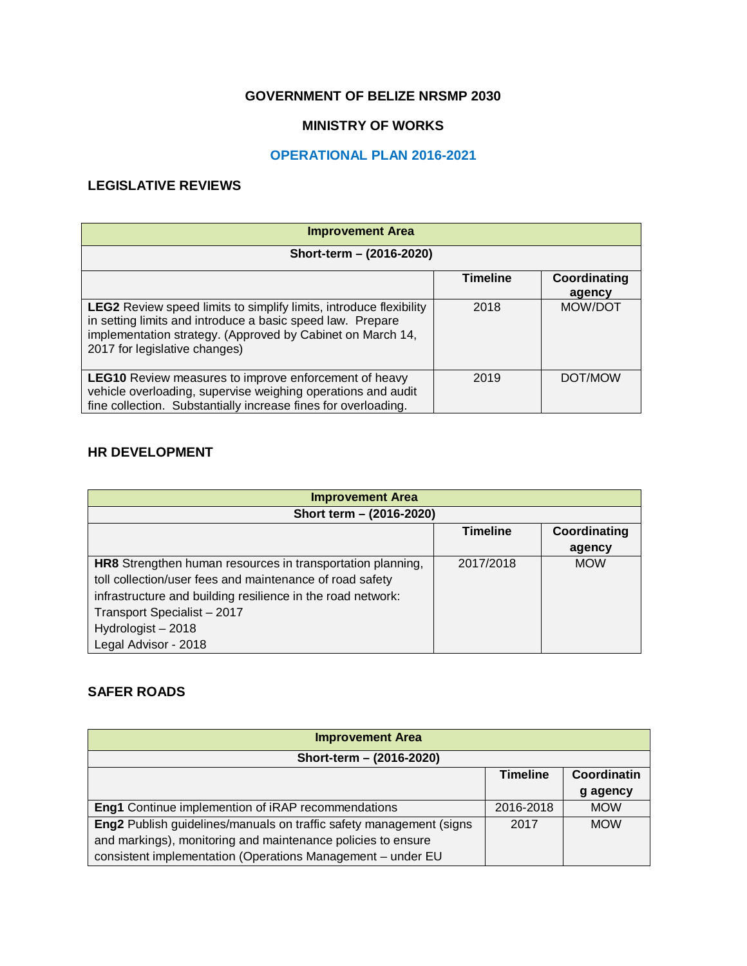### **GOVERNMENT OF BELIZE NRSMP 2030**

### **MINISTRY OF WORKS**

### **OPERATIONAL PLAN 2016-2021**

### **LEGISLATIVE REVIEWS**

| <b>Improvement Area</b>                                                                                                                                                                                                                |                 |                        |
|----------------------------------------------------------------------------------------------------------------------------------------------------------------------------------------------------------------------------------------|-----------------|------------------------|
| Short-term - (2016-2020)                                                                                                                                                                                                               |                 |                        |
|                                                                                                                                                                                                                                        | <b>Timeline</b> | Coordinating<br>agency |
| <b>LEG2</b> Review speed limits to simplify limits, introduce flexibility<br>in setting limits and introduce a basic speed law. Prepare<br>implementation strategy. (Approved by Cabinet on March 14,<br>2017 for legislative changes) | 2018            | MOW/DOT                |
| <b>LEG10</b> Review measures to improve enforcement of heavy<br>vehicle overloading, supervise weighing operations and audit<br>fine collection. Substantially increase fines for overloading.                                         | 2019            | DOT/MOW                |

### **HR DEVELOPMENT**

| <b>Improvement Area</b>                                     |                 |              |  |  |  |  |  |  |
|-------------------------------------------------------------|-----------------|--------------|--|--|--|--|--|--|
| Short term - (2016-2020)                                    |                 |              |  |  |  |  |  |  |
|                                                             | <b>Timeline</b> | Coordinating |  |  |  |  |  |  |
|                                                             |                 | agency       |  |  |  |  |  |  |
| HR8 Strengthen human resources in transportation planning,  | 2017/2018       | <b>MOW</b>   |  |  |  |  |  |  |
| toll collection/user fees and maintenance of road safety    |                 |              |  |  |  |  |  |  |
| infrastructure and building resilience in the road network: |                 |              |  |  |  |  |  |  |
| Transport Specialist - 2017                                 |                 |              |  |  |  |  |  |  |
| Hydrologist-2018                                            |                 |              |  |  |  |  |  |  |
| Legal Advisor - 2018                                        |                 |              |  |  |  |  |  |  |

#### **SAFER ROADS**

| <b>Improvement Area</b>                                             |                 |             |
|---------------------------------------------------------------------|-----------------|-------------|
| Short-term - (2016-2020)                                            |                 |             |
|                                                                     | <b>Timeline</b> | Coordinatin |
|                                                                     |                 | g agency    |
| <b>Eng1</b> Continue implemention of iRAP recommendations           | 2016-2018       | <b>MOW</b>  |
| Eng2 Publish guidelines/manuals on traffic safety management (signs | 2017            | <b>MOW</b>  |
| and markings), monitoring and maintenance policies to ensure        |                 |             |
| consistent implementation (Operations Management - under EU         |                 |             |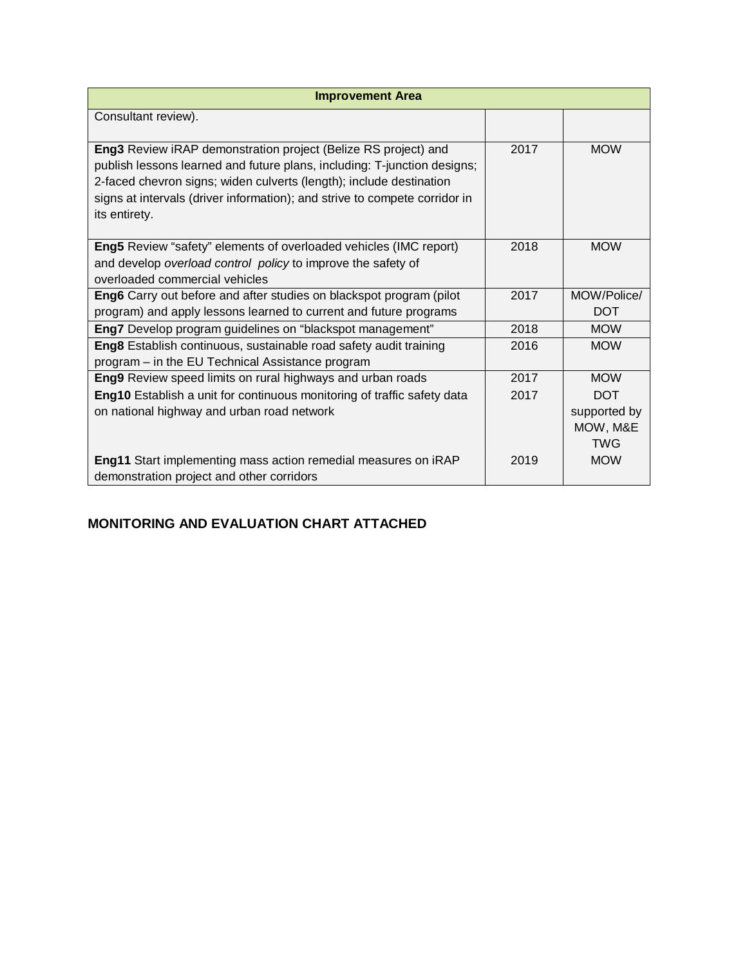| <b>Improvement Area</b>                                                                                                                                                                                                                                                                                          |      |                                                      |  |  |  |  |
|------------------------------------------------------------------------------------------------------------------------------------------------------------------------------------------------------------------------------------------------------------------------------------------------------------------|------|------------------------------------------------------|--|--|--|--|
| Consultant review).                                                                                                                                                                                                                                                                                              |      |                                                      |  |  |  |  |
| Eng3 Review iRAP demonstration project (Belize RS project) and<br>publish lessons learned and future plans, including: T-junction designs;<br>2-faced chevron signs; widen culverts (length); include destination<br>signs at intervals (driver information); and strive to compete corridor in<br>its entirety. | 2017 | <b>MOW</b>                                           |  |  |  |  |
| Eng5 Review "safety" elements of overloaded vehicles (IMC report)<br>and develop overload control policy to improve the safety of<br>overloaded commercial vehicles                                                                                                                                              | 2018 | <b>MOW</b>                                           |  |  |  |  |
| Eng6 Carry out before and after studies on blackspot program (pilot<br>program) and apply lessons learned to current and future programs                                                                                                                                                                         | 2017 | MOW/Police/<br><b>DOT</b>                            |  |  |  |  |
| Eng7 Develop program guidelines on "blackspot management"                                                                                                                                                                                                                                                        | 2018 | <b>MOW</b>                                           |  |  |  |  |
| Eng8 Establish continuous, sustainable road safety audit training<br>program - in the EU Technical Assistance program                                                                                                                                                                                            | 2016 | <b>MOW</b>                                           |  |  |  |  |
| Eng9 Review speed limits on rural highways and urban roads                                                                                                                                                                                                                                                       | 2017 | <b>MOW</b>                                           |  |  |  |  |
| Eng10 Establish a unit for continuous monitoring of traffic safety data<br>on national highway and urban road network                                                                                                                                                                                            | 2017 | <b>DOT</b><br>supported by<br>MOW, M&E<br><b>TWG</b> |  |  |  |  |
| Eng11 Start implementing mass action remedial measures on iRAP<br>demonstration project and other corridors                                                                                                                                                                                                      | 2019 | <b>MOW</b>                                           |  |  |  |  |

# **MONITORING AND EVALUATION CHART ATTACHED**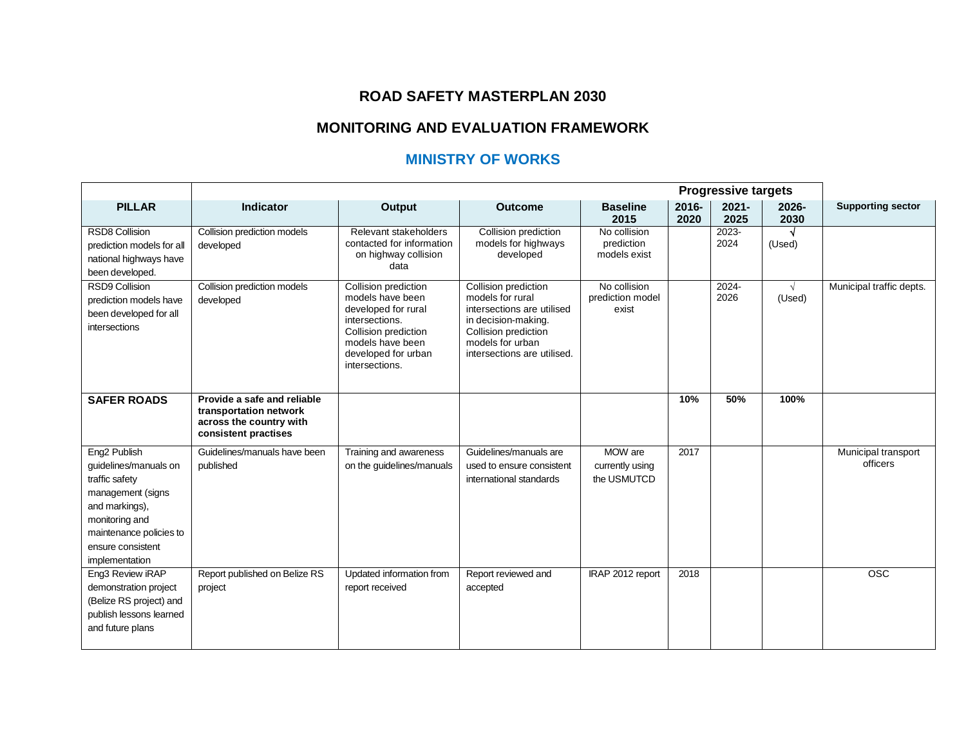## **ROAD SAFETY MASTERPLAN 2030**

# **MONITORING AND EVALUATION FRAMEWORK**

# **MINISTRY OF WORKS**

|                                                                                                                                                                                                | <b>Progressive targets</b>                                                                               |                                                                                                                                                                        |                                                                                                                                                                          |                                            |                  |                  |                      |                                 |
|------------------------------------------------------------------------------------------------------------------------------------------------------------------------------------------------|----------------------------------------------------------------------------------------------------------|------------------------------------------------------------------------------------------------------------------------------------------------------------------------|--------------------------------------------------------------------------------------------------------------------------------------------------------------------------|--------------------------------------------|------------------|------------------|----------------------|---------------------------------|
| <b>PILLAR</b>                                                                                                                                                                                  | <b>Indicator</b>                                                                                         | Output                                                                                                                                                                 | <b>Outcome</b>                                                                                                                                                           | <b>Baseline</b><br>2015                    | $2016 -$<br>2020 | $2021 -$<br>2025 | 2026-<br>2030        | <b>Supporting sector</b>        |
| <b>RSD8 Collision</b><br>prediction models for all<br>national highways have<br>been developed.                                                                                                | Collision prediction models<br>developed                                                                 | Relevant stakeholders<br>contacted for information<br>on highway collision<br>data                                                                                     | Collision prediction<br>models for highways<br>developed                                                                                                                 | No collision<br>prediction<br>models exist |                  | 2023-<br>2024    | (Used)               |                                 |
| <b>RSD9 Collision</b><br>prediction models have<br>been developed for all<br>intersections                                                                                                     | Collision prediction models<br>developed                                                                 | Collision prediction<br>models have been<br>developed for rural<br>intersections.<br>Collision prediction<br>models have been<br>developed for urban<br>intersections. | Collision prediction<br>models for rural<br>intersections are utilised<br>in decision-making.<br>Collision prediction<br>models for urban<br>intersections are utilised. | No collision<br>prediction model<br>exist  |                  | 2024-<br>2026    | $\sqrt{ }$<br>(Used) | Municipal traffic depts.        |
| <b>SAFER ROADS</b>                                                                                                                                                                             | Provide a safe and reliable<br>transportation network<br>across the country with<br>consistent practises |                                                                                                                                                                        |                                                                                                                                                                          |                                            | 10%              | 50%              | 100%                 |                                 |
| Eng <sub>2</sub> Publish<br>guidelines/manuals on<br>traffic safety<br>management (signs<br>and markings),<br>monitoring and<br>maintenance policies to<br>ensure consistent<br>implementation | Guidelines/manuals have been<br>published                                                                | Training and awareness<br>on the guidelines/manuals                                                                                                                    | Guidelines/manuals are<br>used to ensure consistent<br>international standards                                                                                           | MOW are<br>currently using<br>the USMUTCD  | 2017             |                  |                      | Municipal transport<br>officers |
| Eng3 Review iRAP<br>demonstration project<br>(Belize RS project) and<br>publish lessons learned<br>and future plans                                                                            | Report published on Belize RS<br>project                                                                 | Updated information from<br>report received                                                                                                                            | Report reviewed and<br>accepted                                                                                                                                          | IRAP 2012 report                           | 2018             |                  |                      | <b>OSC</b>                      |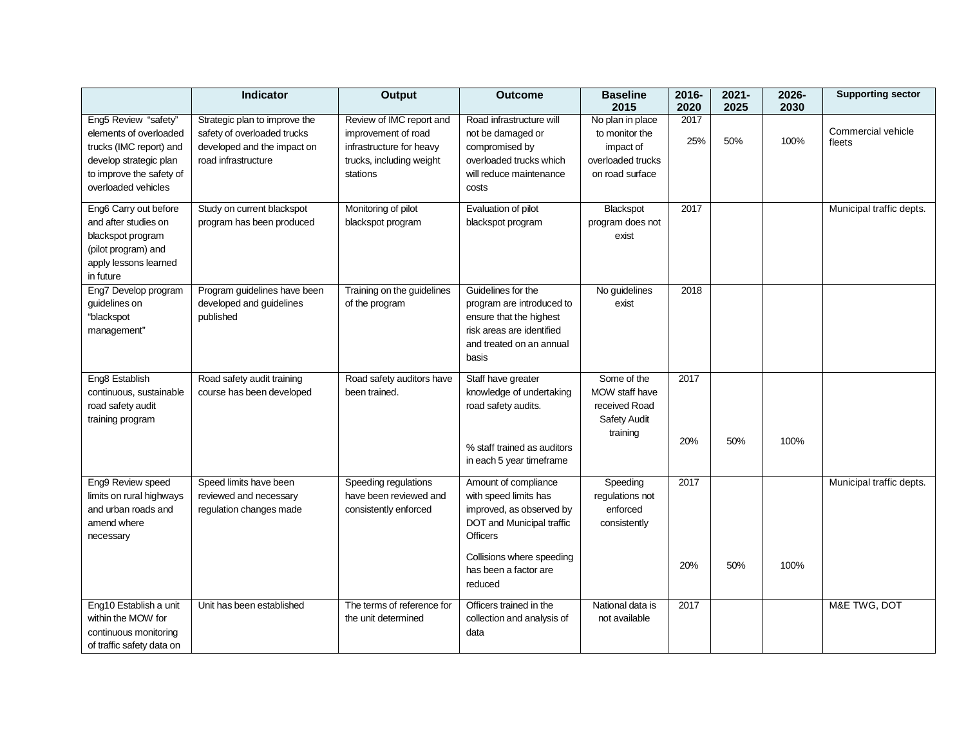|                                                                                                                                                        | <b>Indicator</b>                                                                                                   | Output                                                                                                              | <b>Outcome</b>                                                                                                                                         | <b>Baseline</b><br>2015                                                                 | 2016-<br>2020 | $2021 -$<br>2025 | 2026-<br>2030 | <b>Supporting sector</b>     |
|--------------------------------------------------------------------------------------------------------------------------------------------------------|--------------------------------------------------------------------------------------------------------------------|---------------------------------------------------------------------------------------------------------------------|--------------------------------------------------------------------------------------------------------------------------------------------------------|-----------------------------------------------------------------------------------------|---------------|------------------|---------------|------------------------------|
| Eng5 Review "safety"<br>elements of overloaded<br>trucks (IMC report) and<br>develop strategic plan<br>to improve the safety of<br>overloaded vehicles | Strategic plan to improve the<br>safety of overloaded trucks<br>developed and the impact on<br>road infrastructure | Review of IMC report and<br>improvement of road<br>infrastructure for heavy<br>trucks, including weight<br>stations | Road infrastructure will<br>not be damaged or<br>compromised by<br>overloaded trucks which<br>will reduce maintenance<br>costs                         | No plan in place<br>to monitor the<br>impact of<br>overloaded trucks<br>on road surface | 2017<br>25%   | 50%              | 100%          | Commercial vehicle<br>fleets |
| Eng6 Carry out before<br>and after studies on<br>blackspot program<br>(pilot program) and<br>apply lessons learned<br>in future                        | Study on current blackspot<br>program has been produced                                                            | Monitoring of pilot<br>blackspot program                                                                            | Evaluation of pilot<br>blackspot program                                                                                                               | Blackspot<br>program does not<br>exist                                                  | 2017          |                  |               | Municipal traffic depts.     |
| Eng7 Develop program<br>guidelines on<br>"blackspot<br>management"                                                                                     | Program guidelines have been<br>developed and guidelines<br>published                                              | Training on the guidelines<br>of the program                                                                        | Guidelines for the<br>program are introduced to<br>ensure that the highest<br>risk areas are identified<br>and treated on an annual<br>basis           | No guidelines<br>exist                                                                  | 2018          |                  |               |                              |
| Eng8 Establish<br>continuous, sustainable<br>road safety audit<br>training program                                                                     | Road safety audit training<br>course has been developed                                                            | Road safety auditors have<br>been trained.                                                                          | Staff have greater<br>knowledge of undertaking<br>road safety audits.<br>% staff trained as auditors<br>in each 5 year timeframe                       | Some of the<br>MOW staff have<br>received Road<br>Safety Audit<br>training              | 2017<br>20%   | 50%              | 100%          |                              |
| Eng9 Review speed<br>limits on rural highways<br>and urban roads and<br>amend where<br>necessary                                                       | Speed limits have been<br>reviewed and necessary<br>regulation changes made                                        | Speeding regulations<br>have been reviewed and<br>consistently enforced                                             | Amount of compliance<br>with speed limits has<br>improved, as observed by<br>DOT and Municipal traffic<br><b>Officers</b><br>Collisions where speeding | Speeding<br>regulations not<br>enforced<br>consistently                                 | 2017<br>20%   | 50%              | 100%          | Municipal traffic depts.     |
|                                                                                                                                                        |                                                                                                                    |                                                                                                                     | has been a factor are<br>reduced                                                                                                                       |                                                                                         |               |                  |               |                              |
| Eng10 Establish a unit<br>within the MOW for<br>continuous monitoring<br>of traffic safety data on                                                     | Unit has been established                                                                                          | The terms of reference for<br>the unit determined                                                                   | Officers trained in the<br>collection and analysis of<br>data                                                                                          | National data is<br>not available                                                       | 2017          |                  |               | M&E TWG, DOT                 |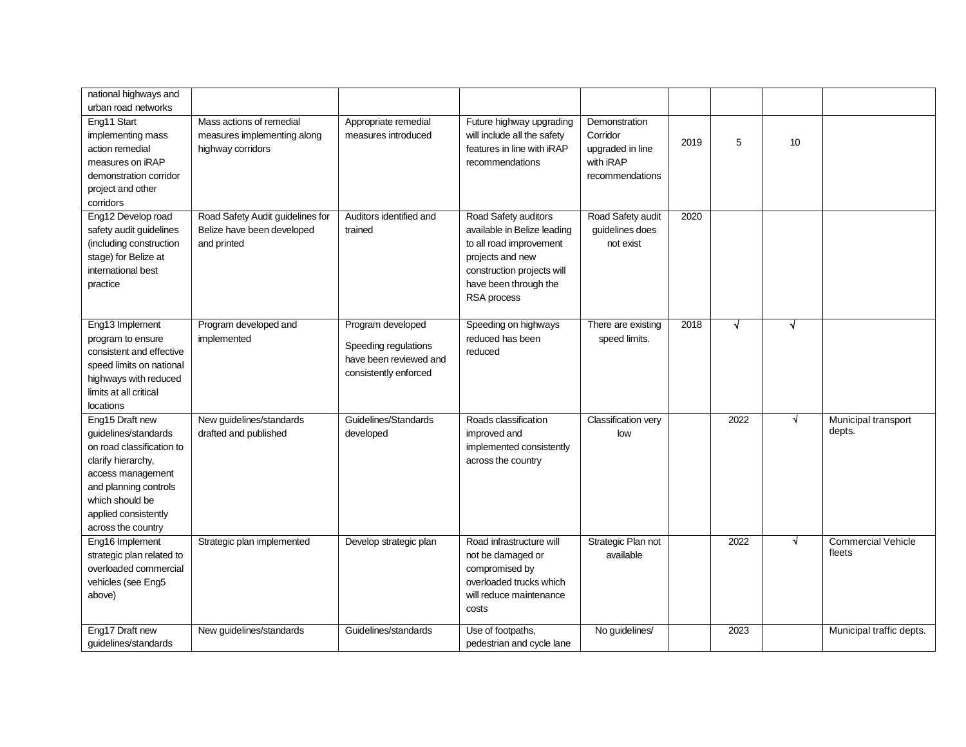| national highways and                                                                                                                                                                                     |                                                                               |                                                                                              |                                                                                                                                                                          |                                                                               |      |           |            |                                     |
|-----------------------------------------------------------------------------------------------------------------------------------------------------------------------------------------------------------|-------------------------------------------------------------------------------|----------------------------------------------------------------------------------------------|--------------------------------------------------------------------------------------------------------------------------------------------------------------------------|-------------------------------------------------------------------------------|------|-----------|------------|-------------------------------------|
| urban road networks                                                                                                                                                                                       |                                                                               |                                                                                              |                                                                                                                                                                          |                                                                               |      |           |            |                                     |
| Eng11 Start<br>implementing mass<br>action remedial<br>measures on iRAP<br>demonstration corridor<br>project and other<br>corridors                                                                       | Mass actions of remedial<br>measures implementing along<br>highway corridors  | Appropriate remedial<br>measures introduced                                                  | Future highway upgrading<br>will include all the safety<br>features in line with iRAP<br>recommendations                                                                 | Demonstration<br>Corridor<br>upgraded in line<br>with iRAP<br>recommendations | 2019 | 5         | 10         |                                     |
| Eng12 Develop road<br>safety audit guidelines<br>(including construction<br>stage) for Belize at<br>international best<br>practice                                                                        | Road Safety Audit guidelines for<br>Belize have been developed<br>and printed | Auditors identified and<br>trained                                                           | Road Safety auditors<br>available in Belize leading<br>to all road improvement<br>projects and new<br>construction projects will<br>have been through the<br>RSA process | Road Safety audit<br>guidelines does<br>not exist                             | 2020 |           |            |                                     |
| Eng13 Implement<br>program to ensure<br>consistent and effective<br>speed limits on national<br>highways with reduced<br>limits at all critical<br>locations                                              | Program developed and<br>implemented                                          | Program developed<br>Speeding regulations<br>have been reviewed and<br>consistently enforced | Speeding on highways<br>reduced has been<br>reduced                                                                                                                      | There are existing<br>speed limits.                                           | 2018 | $\sqrt{}$ | $\sqrt{ }$ |                                     |
| Eng15 Draft new<br>guidelines/standards<br>on road classification to<br>clarify hierarchy,<br>access management<br>and planning controls<br>which should be<br>applied consistently<br>across the country | New guidelines/standards<br>drafted and published                             | Guidelines/Standards<br>developed                                                            | Roads classification<br>improved and<br>implemented consistently<br>across the country                                                                                   | <b>Classification very</b><br>low                                             |      | 2022      | $\sqrt{ }$ | Municipal transport<br>depts.       |
| Eng16 Implement<br>strategic plan related to<br>overloaded commercial<br>vehicles (see Eng5<br>above)                                                                                                     | Strategic plan implemented                                                    | Develop strategic plan                                                                       | Road infrastructure will<br>not be damaged or<br>compromised by<br>overloaded trucks which<br>will reduce maintenance<br>costs                                           | Strategic Plan not<br>available                                               |      | 2022      | $\sqrt{ }$ | <b>Commercial Vehicle</b><br>fleets |
| Eng17 Draft new<br>guidelines/standards                                                                                                                                                                   | New guidelines/standards                                                      | Guidelines/standards                                                                         | Use of footpaths.<br>pedestrian and cycle lane                                                                                                                           | No guidelines/                                                                |      | 2023      |            | Municipal traffic depts.            |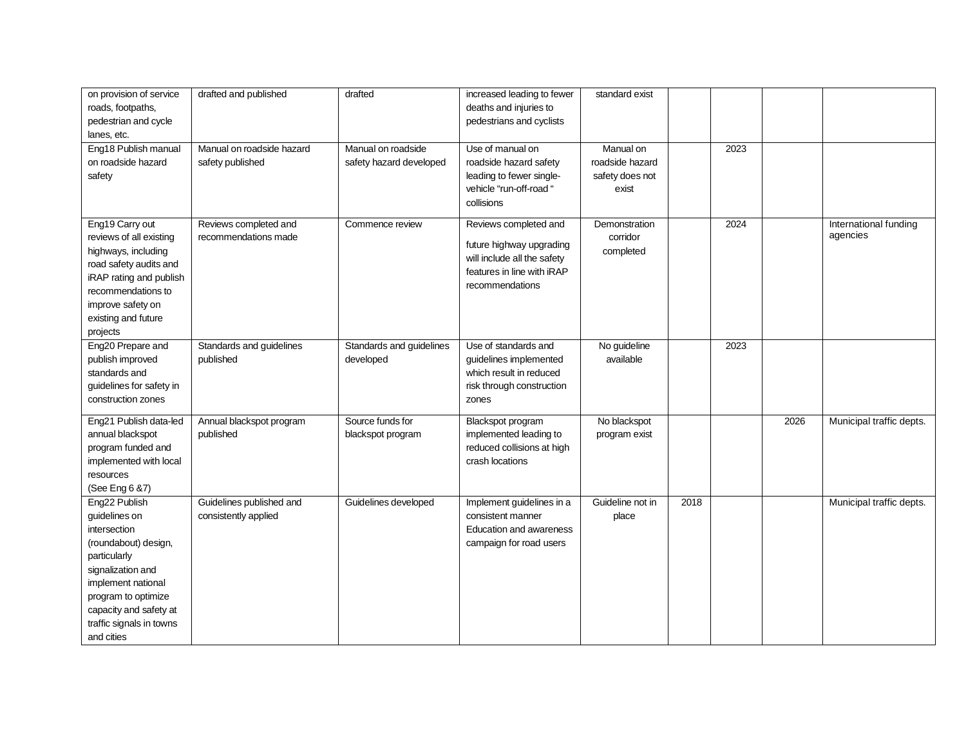| on provision of service  | drafted and published     | drafted                  | increased leading to fewer  | standard exist   |      |      |      |                          |
|--------------------------|---------------------------|--------------------------|-----------------------------|------------------|------|------|------|--------------------------|
| roads, footpaths,        |                           |                          | deaths and injuries to      |                  |      |      |      |                          |
| pedestrian and cycle     |                           |                          | pedestrians and cyclists    |                  |      |      |      |                          |
| lanes, etc.              |                           |                          |                             |                  |      |      |      |                          |
| Eng18 Publish manual     | Manual on roadside hazard | Manual on roadside       | Use of manual on            | Manual on        |      | 2023 |      |                          |
| on roadside hazard       | safety published          | safety hazard developed  | roadside hazard safety      | roadside hazard  |      |      |      |                          |
| safety                   |                           |                          | leading to fewer single-    | safety does not  |      |      |      |                          |
|                          |                           |                          | vehicle "run-off-road "     | exist            |      |      |      |                          |
|                          |                           |                          | collisions                  |                  |      |      |      |                          |
|                          |                           |                          |                             |                  |      |      |      |                          |
| Eng19 Carry out          | Reviews completed and     | Commence review          | Reviews completed and       | Demonstration    |      | 2024 |      | International funding    |
| reviews of all existing  | recommendations made      |                          |                             | corridor         |      |      |      | agencies                 |
| highways, including      |                           |                          | future highway upgrading    | completed        |      |      |      |                          |
| road safety audits and   |                           |                          | will include all the safety |                  |      |      |      |                          |
| iRAP rating and publish  |                           |                          | features in line with iRAP  |                  |      |      |      |                          |
| recommendations to       |                           |                          | recommendations             |                  |      |      |      |                          |
| improve safety on        |                           |                          |                             |                  |      |      |      |                          |
| existing and future      |                           |                          |                             |                  |      |      |      |                          |
| projects                 |                           |                          |                             |                  |      |      |      |                          |
| Eng20 Prepare and        | Standards and guidelines  | Standards and guidelines | Use of standards and        | No guideline     |      | 2023 |      |                          |
| publish improved         | published                 | developed                | guidelines implemented      | available        |      |      |      |                          |
| standards and            |                           |                          | which result in reduced     |                  |      |      |      |                          |
|                          |                           |                          |                             |                  |      |      |      |                          |
| guidelines for safety in |                           |                          | risk through construction   |                  |      |      |      |                          |
| construction zones       |                           |                          | zones                       |                  |      |      |      |                          |
| Eng21 Publish data-led   | Annual blackspot program  | Source funds for         | Blackspot program           | No blackspot     |      |      | 2026 | Municipal traffic depts. |
| annual blackspot         | published                 | blackspot program        | implemented leading to      | program exist    |      |      |      |                          |
| program funded and       |                           |                          | reduced collisions at high  |                  |      |      |      |                          |
| implemented with local   |                           |                          | crash locations             |                  |      |      |      |                          |
| resources                |                           |                          |                             |                  |      |      |      |                          |
| (See Eng 6 & 7)          |                           |                          |                             |                  |      |      |      |                          |
| Eng22 Publish            | Guidelines published and  | Guidelines developed     | Implement guidelines in a   | Guideline not in | 2018 |      |      | Municipal traffic depts. |
| guidelines on            | consistently applied      |                          | consistent manner           | place            |      |      |      |                          |
| intersection             |                           |                          | Education and awareness     |                  |      |      |      |                          |
| (roundabout) design,     |                           |                          | campaign for road users     |                  |      |      |      |                          |
| particularly             |                           |                          |                             |                  |      |      |      |                          |
| signalization and        |                           |                          |                             |                  |      |      |      |                          |
| implement national       |                           |                          |                             |                  |      |      |      |                          |
| program to optimize      |                           |                          |                             |                  |      |      |      |                          |
|                          |                           |                          |                             |                  |      |      |      |                          |
| capacity and safety at   |                           |                          |                             |                  |      |      |      |                          |
| traffic signals in towns |                           |                          |                             |                  |      |      |      |                          |
| and cities               |                           |                          |                             |                  |      |      |      |                          |